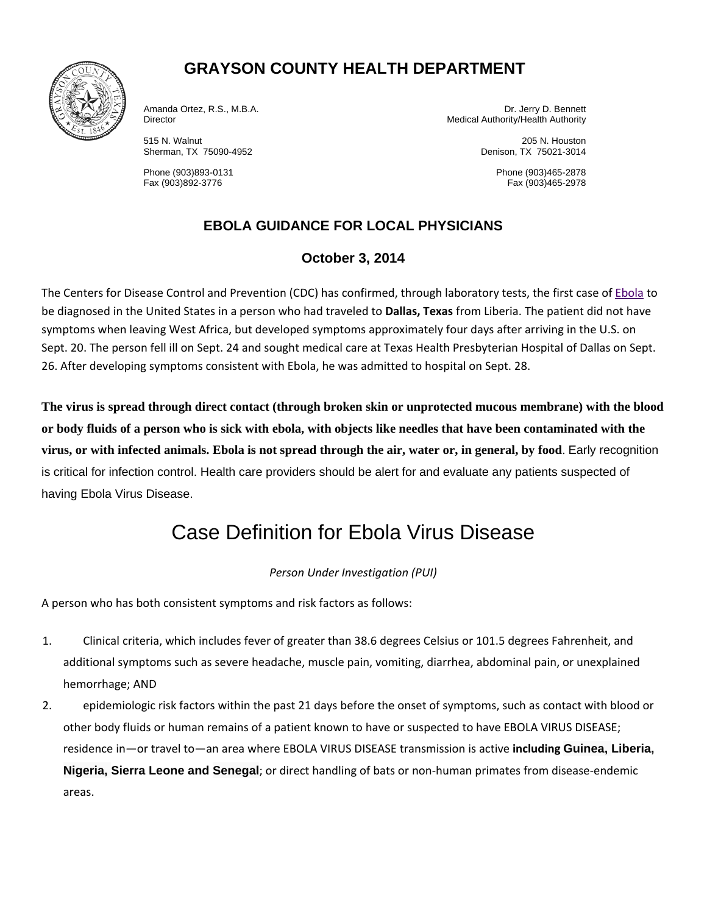

## **GRAYSON COUNTY HEALTH DEPARTMENT**

Sherman, TX 75090-4952 Denison, TX 75021-3014

Amanda Ortez, R.S., M.B.A. Dr. Jerry D. Bennett Director Medical Authority/Health Authority Medical Authority/Health Authority

515 N. Walnut 205 N. Houston

Phone (903)893-0131 Phone (903)465-2878 Fax (903)465-2978

## **EBOLA GUIDANCE FOR LOCAL PHYSICIANS**

### **October 3, 2014**

The Centers for Disease Control and Prevention (CDC) has confirmed, through laboratory tests, the first case of Ebola to be diagnosed in the United States in a person who had traveled to **Dallas, Texas** from Liberia. The patient did not have symptoms when leaving West Africa, but developed symptoms approximately four days after arriving in the U.S. on Sept. 20. The person fell ill on Sept. 24 and sought medical care at Texas Health Presbyterian Hospital of Dallas on Sept. 26. After developing symptoms consistent with Ebola, he was admitted to hospital on Sept. 28.

**The virus is spread through direct contact (through broken skin or unprotected mucous membrane) with the blood or body fluids of a person who is sick with ebola, with objects like needles that have been contaminated with the virus, or with infected animals. Ebola is not spread through the air, water or, in general, by food**. Early recognition is critical for infection control. Health care providers should be alert for and evaluate any patients suspected of having Ebola Virus Disease.

# Case Definition for Ebola Virus Disease

#### *Person Under Investigation (PUI)*

A person who has both consistent symptoms and risk factors as follows:

- 1. Clinical criteria, which includes fever of greater than 38.6 degrees Celsius or 101.5 degrees Fahrenheit, and additional symptoms such as severe headache, muscle pain, vomiting, diarrhea, abdominal pain, or unexplained hemorrhage; AND
- 2. epidemiologic risk factors within the past 21 days before the onset of symptoms, such as contact with blood or other body fluids or human remains of a patient known to have or suspected to have EBOLA VIRUS DISEASE; residence in—or travel to—an area where EBOLA VIRUS DISEASE transmission is active **including Guinea, Liberia, Nigeria, Sierra Leone and Senegal**; or direct handling of bats or non‐human primates from disease‐endemic areas.